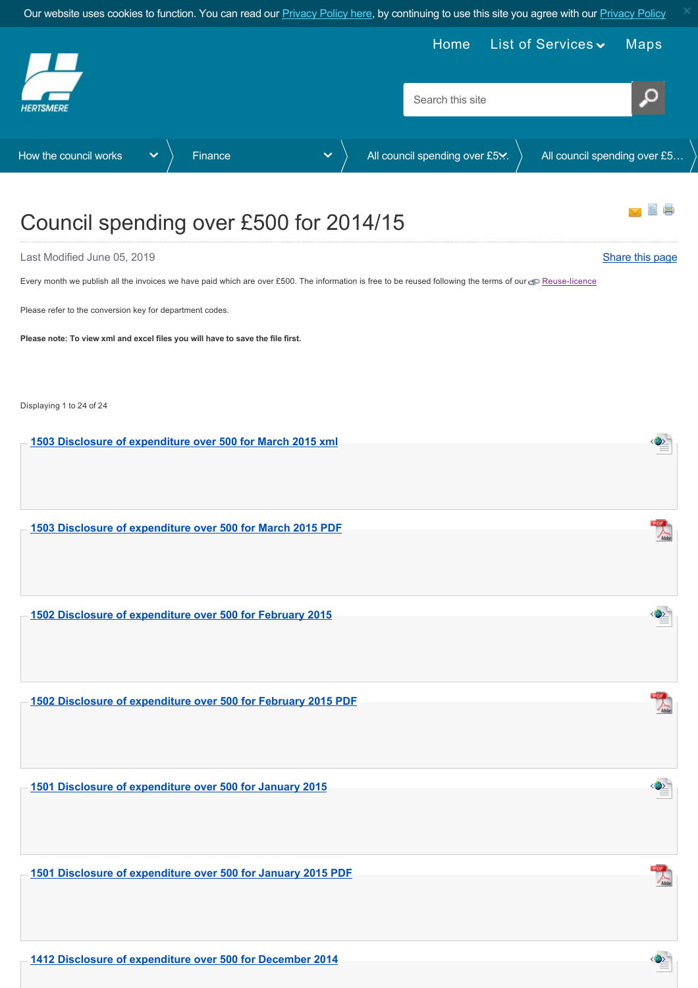<span id="page-0-0"></span>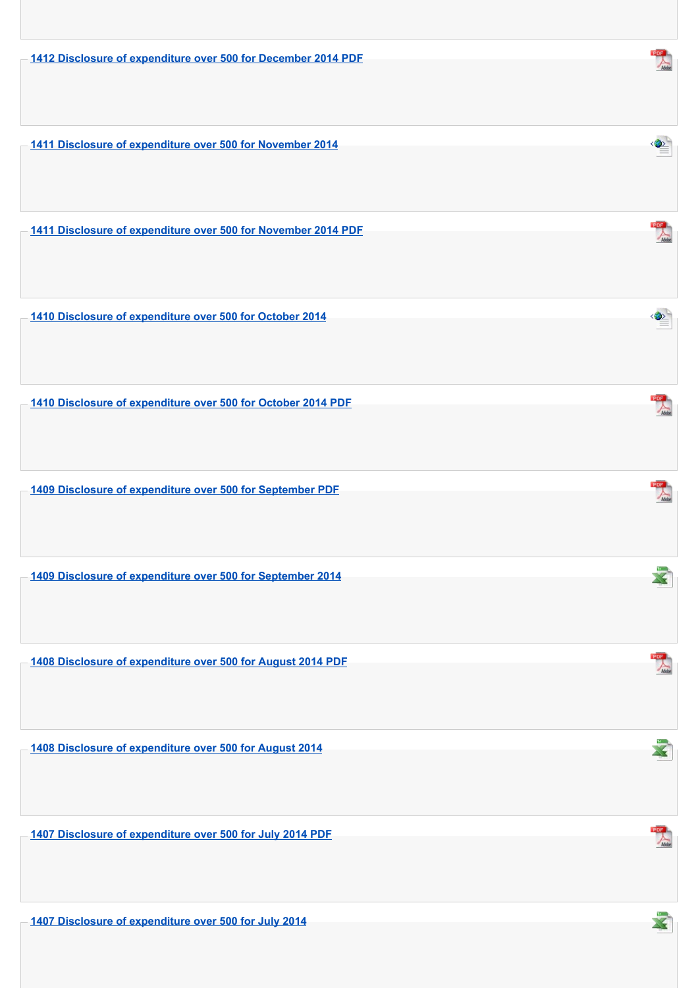**[1412 Disclosure of expenditure over 500 for December 2014 PDF](https://www.hertsmere.gov.uk/Documents/11-Your-Council/How-the-council-works/Finance/Disclosure-of-Expenditure-over-500/2014-15/1412-Disclosure-of-expenditure-over-500-for-December-2014-PDF.pdf)**

**[1411 Disclosure of expenditure over 500 for November 2014](https://www.hertsmere.gov.uk/Documents/11-Your-Council/How-the-council-works/Finance/Disclosure-of-Expenditure-over-500/2014-15/1411-Disclosure-of-expenditure-over-500-for-November-2014-xml.xml)**

**[1411 Disclosure of expenditure over 500 for November 2014 PDF](https://www.hertsmere.gov.uk/Documents/11-Your-Council/How-the-council-works/Finance/Disclosure-of-Expenditure-over-500/2014-15/1411-Disclosure-of-expenditure-over-500-for-November-2014-PDF.pdf)**

**[1410 Disclosure of expenditure over 500 for October 2014](https://www.hertsmere.gov.uk/Documents/11-Your-Council/How-the-council-works/Finance/Disclosure-of-Expenditure-over-500/2014-15/1410-Disclosure-of-expenditure-over-500-for-October-2014-xml.xml)**

**[1410 Disclosure of expenditure over 500 for October 2014 PDF](https://www.hertsmere.gov.uk/Documents/11-Your-Council/How-the-council-works/Finance/Disclosure-of-Expenditure-over-500/2014-15/1410-Disclosure-of-expenditure-over-500-for-October-2014-PDF.pdf)**

**[1409 Disclosure of expenditure over 500 for September PDF](https://www.hertsmere.gov.uk/Documents/11-Your-Council/How-the-council-works/Finance/Disclosure-of-Expenditure-over-500/2014-15/1409-Disclosure-of-expenditure-over-500-for-September-2014-PDF.pdf)**

**[1409 Disclosure of expenditure over 500 for September 2014](https://www.hertsmere.gov.uk/Documents/11-Your-Council/How-the-council-works/Finance/Disclosure-of-Expenditure-over-500/2014-15/1409-Disclosure-of-expenditure-over-500-for-September-2014.xls)**

**[1408 Disclosure of expenditure over 500 for August 2014 PDF](https://www.hertsmere.gov.uk/Documents/11-Your-Council/How-the-council-works/Finance/Disclosure-of-Expenditure-over-500/2014-15/1408-Disclosure-of-expenditure-over-500-for-August-2014-PDF.pdf)**

**[1408 Disclosure of expenditure over 500 for August 2014](https://www.hertsmere.gov.uk/Documents/11-Your-Council/How-the-council-works/Finance/Disclosure-of-Expenditure-over-500/2014-15/1408-Disclosure-of-expenditure-over-500-for-August-2014.xls)**

**[1407 Disclosure of expenditure over 500 for July 2014 PDF](https://www.hertsmere.gov.uk/Documents/11-Your-Council/How-the-council-works/Finance/Disclosure-of-Expenditure-over-500/2014-15/1407-Disclosure-of-expenditure-over-500-for-July-2014-PDF.pdf)**

**[1407 Disclosure of expenditure over 500 for July 2014](https://www.hertsmere.gov.uk/Documents/11-Your-Council/How-the-council-works/Finance/Disclosure-of-Expenditure-over-500/2014-15/1407-Disclosure-of-expenditure-over-500-for-July-2014.xls)**



G.